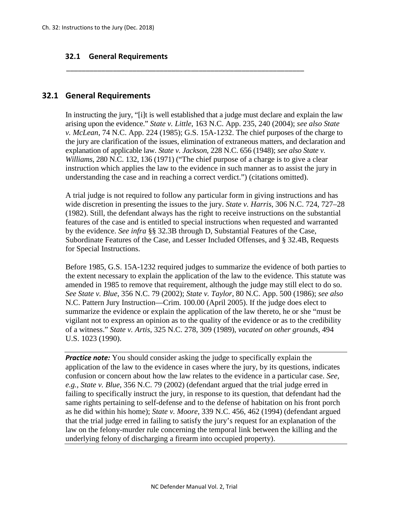## **32.1 General Requirements**

## **32.1 General Requirements**

In instructing the jury, "[i]t is well established that a judge must declare and explain the law arising upon the evidence." *State v. Little*, 163 N.C. App. 235, 240 (2004); *see also State v. McLean*, 74 N.C. App. 224 (1985); G.S. 15A-1232. The chief purposes of the charge to the jury are clarification of the issues, elimination of extraneous matters, and declaration and explanation of applicable law. *State v. Jackson*, 228 N.C. 656 (1948); *see also State v. Williams*, 280 N.C. 132, 136 (1971) ("The chief purpose of a charge is to give a clear instruction which applies the law to the evidence in such manner as to assist the jury in understanding the case and in reaching a correct verdict.") (citations omitted).

\_\_\_\_\_\_\_\_\_\_\_\_\_\_\_\_\_\_\_\_\_\_\_\_\_\_\_\_\_\_\_\_\_\_\_\_\_\_\_\_\_\_\_\_\_\_\_\_\_\_\_\_\_\_\_\_\_\_\_\_\_

A trial judge is not required to follow any particular form in giving instructions and has wide discretion in presenting the issues to the jury. *State v. Harris*, 306 N.C. 724, 727–28 (1982). Still, the defendant always has the right to receive instructions on the substantial features of the case and is entitled to special instructions when requested and warranted by the evidence. *See infra* §§ 32.3B through D, Substantial Features of the Case, Subordinate Features of the Case, and Lesser Included Offenses, and § 32.4B, Requests for Special Instructions.

Before 1985, G.S. 15A-1232 required judges to summarize the evidence of both parties to the extent necessary to explain the application of the law to the evidence. This statute was amended in 1985 to remove that requirement, although the judge may still elect to do so. *See State v. Blue*, 356 N.C. 79 (2002); *State v. Taylor*, 80 N.C. App. 500 (1986); *see also* N.C. Pattern Jury Instruction—Crim. 100.00 (April 2005). If the judge does elect to summarize the evidence or explain the application of the law thereto, he or she "must be vigilant not to express an opinion as to the quality of the evidence or as to the credibility of a witness." *State v. Artis*, 325 N.C. 278, 309 (1989), *vacated on other grounds*, 494 U.S. 1023 (1990).

*Practice note:* You should consider asking the judge to specifically explain the application of the law to the evidence in cases where the jury, by its questions, indicates confusion or concern about how the law relates to the evidence in a particular case. *See, e.g., State v. Blue*, 356 N.C. 79 (2002) (defendant argued that the trial judge erred in failing to specifically instruct the jury, in response to its question, that defendant had the same rights pertaining to self-defense and to the defense of habitation on his front porch as he did within his home); *State v. Moore*, 339 N.C. 456, 462 (1994) (defendant argued that the trial judge erred in failing to satisfy the jury's request for an explanation of the law on the felony-murder rule concerning the temporal link between the killing and the underlying felony of discharging a firearm into occupied property).